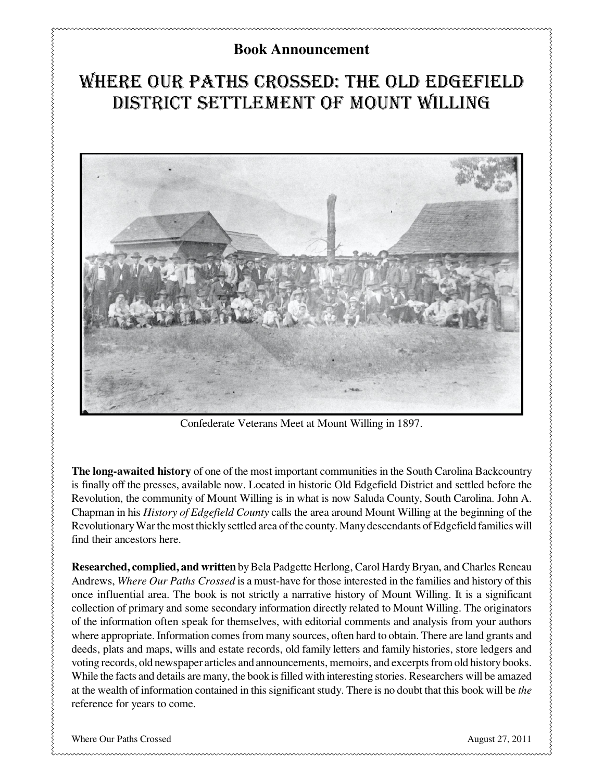## **Book Announcement**

# Where Our Paths Crossed: The Old Edgefield District Settlement of Mount Willing



Confederate Veterans Meet at Mount Willing in 1897.

**The long-awaited history** of one of the most important communities in the South Carolina Backcountry is finally off the presses, available now. Located in historic Old Edgefield District and settled before the Revolution, the community of Mount Willing is in what is now Saluda County, South Carolina. John A. Chapman in his *History of Edgefield County* calls the area around Mount Willing at the beginning of the Revolutionary War the most thickly settled area of the county. Many descendants of Edgefield families will find their ancestors here.

**Researched, complied, and written** by Bela Padgette Herlong, Carol Hardy Bryan, and Charles Reneau Andrews, *Where Our Paths Crossed* is a must-have for those interested in the families and history of this once influential area. The book is not strictly a narrative history of Mount Willing. It is a significant collection of primary and some secondary information directly related to Mount Willing. The originators of the information often speak for themselves, with editorial comments and analysis from your authors where appropriate. Information comes from many sources, often hard to obtain. There are land grants and deeds, plats and maps, wills and estate records, old family letters and family histories, store ledgers and voting records, old newspaper articles and announcements, memoirs, and excerpts from old history books. While the facts and details are many, the book is filled with interesting stories. Researchers will be amazed at the wealth of information contained in this significant study. There is no doubt that this book will be *the* reference for years to come.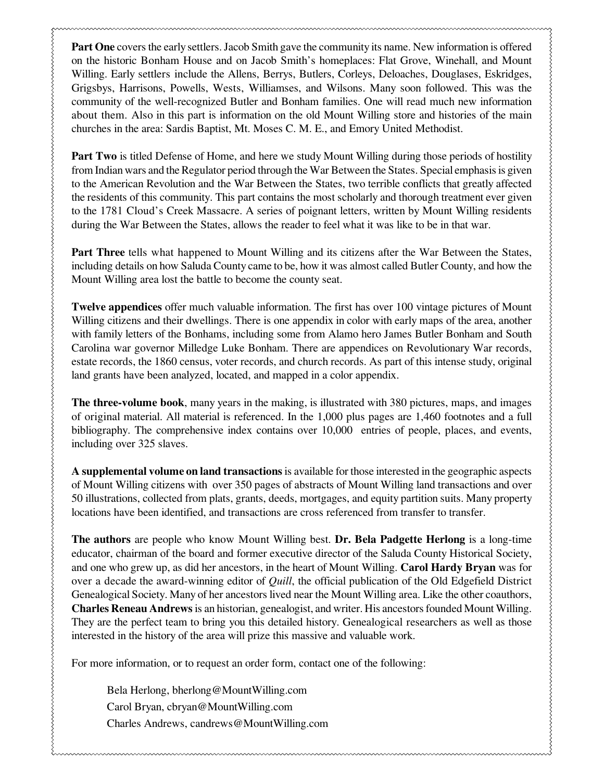**Part One** covers the early settlers. Jacob Smith gave the community its name. New information is offered on the historic Bonham House and on Jacob Smith's homeplaces: Flat Grove, Winehall, and Mount Willing. Early settlers include the Allens, Berrys, Butlers, Corleys, Deloaches, Douglases, Eskridges, Grigsbys, Harrisons, Powells, Wests, Williamses, and Wilsons. Many soon followed. This was the community of the well-recognized Butler and Bonham families. One will read much new information about them. Also in this part is information on the old Mount Willing store and histories of the main churches in the area: Sardis Baptist, Mt. Moses C. M. E., and Emory United Methodist.

**Part Two** is titled Defense of Home, and here we study Mount Willing during those periods of hostility from Indian wars and the Regulator period through the War Between the States. Special emphasis is given to the American Revolution and the War Between the States, two terrible conflicts that greatly affected the residents of this community. This part contains the most scholarly and thorough treatment ever given to the 1781 Cloud's Creek Massacre. A series of poignant letters, written by Mount Willing residents during the War Between the States, allows the reader to feel what it was like to be in that war.

**Part Three** tells what happened to Mount Willing and its citizens after the War Between the States, including details on how Saluda County came to be, how it was almost called Butler County, and how the Mount Willing area lost the battle to become the county seat.

**Twelve appendices** offer much valuable information. The first has over 100 vintage pictures of Mount Willing citizens and their dwellings. There is one appendix in color with early maps of the area, another with family letters of the Bonhams, including some from Alamo hero James Butler Bonham and South Carolina war governor Milledge Luke Bonham. There are appendices on Revolutionary War records, estate records, the 1860 census, voter records, and church records. As part of this intense study, original land grants have been analyzed, located, and mapped in a color appendix.

**The three-volume book**, many years in the making, is illustrated with 380 pictures, maps, and images of original material. All material is referenced. In the 1,000 plus pages are 1,460 footnotes and a full bibliography. The comprehensive index contains over 10,000 entries of people, places, and events, including over 325 slaves.

**A supplemental volume on land transactions** is available for those interested in the geographic aspects of Mount Willing citizens with over 350 pages of abstracts of Mount Willing land transactions and over 50 illustrations, collected from plats, grants, deeds, mortgages, and equity partition suits. Many property locations have been identified, and transactions are cross referenced from transfer to transfer.

**The authors** are people who know Mount Willing best. **Dr. Bela Padgette Herlong** is a long-time educator, chairman of the board and former executive director of the Saluda County Historical Society, and one who grew up, as did her ancestors, in the heart of Mount Willing. **Carol Hardy Bryan** was for over a decade the award-winning editor of *Quill*, the official publication of the Old Edgefield District Genealogical Society. Many of her ancestors lived near the Mount Willing area. Like the other coauthors, **Charles Reneau Andrews** is an historian, genealogist, and writer. His ancestors founded Mount Willing. They are the perfect team to bring you this detailed history. Genealogical researchers as well as those interested in the history of the area will prize this massive and valuable work.

For more information, or to request an order form, contact one of the following:

Bela Herlong, bherlong@MountWilling.com Carol Bryan, cbryan@MountWilling.com Charles Andrews, candrews@MountWilling.com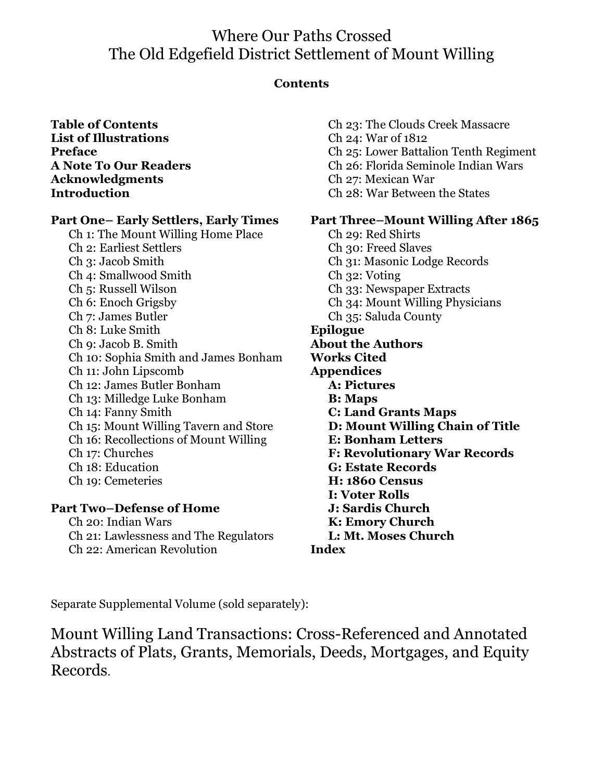# Where Our Paths Crossed The Old Edgefield District Settlement of Mount Willing

#### **Contents**

#### **Table of Contents List of Illustrations Preface A Note To Our Readers Acknowledgments Introduction**

#### **Part One– Early Settlers, Early Times**

Ch 1: The Mount Willing Home Place Ch 2: Earliest Settlers Ch 3: Jacob Smith Ch 4: Smallwood Smith Ch 5: Russell Wilson Ch 6: Enoch Grigsby Ch 7: James Butler Ch 8: Luke Smith Ch 9: Jacob B. Smith Ch 10: Sophia Smith and James Bonham Ch 11: John Lipscomb Ch 12: James Butler Bonham Ch 13: Milledge Luke Bonham Ch 14: Fanny Smith Ch 15: Mount Willing Tavern and Store Ch 16: Recollections of Mount Willing Ch 17: Churches Ch 18: Education Ch 19: Cemeteries

#### **Part Two–Defense of Home**

Ch 20: Indian Wars Ch 21: Lawlessness and The Regulators Ch 22: American Revolution

Ch 23: The Clouds Creek Massacre Ch 24: War of 1812 Ch 25: Lower Battalion Tenth Regiment Ch 26: Florida Seminole Indian Wars Ch 27: Mexican War Ch 28: War Between the States

#### **Part Three–Mount Willing After 1865**

Ch 29: Red Shirts Ch 30: Freed Slaves Ch 31: Masonic Lodge Records Ch 32: Voting Ch 33: Newspaper Extracts Ch 34: Mount Willing Physicians Ch 35: Saluda County **Epilogue About the Authors Works Cited Appendices A: Pictures B: Maps C: Land Grants Maps D: Mount Willing Chain of Title E: Bonham Letters F: Revolutionary War Records G: Estate Records H: 1860 Census I: Voter Rolls J: Sardis Church K: Emory Church L: Mt. Moses Church Index**

Separate Supplemental Volume (sold separately):

Mount Willing Land Transactions: Cross-Referenced and Annotated Abstracts of Plats, Grants, Memorials, Deeds, Mortgages, and Equity Records.